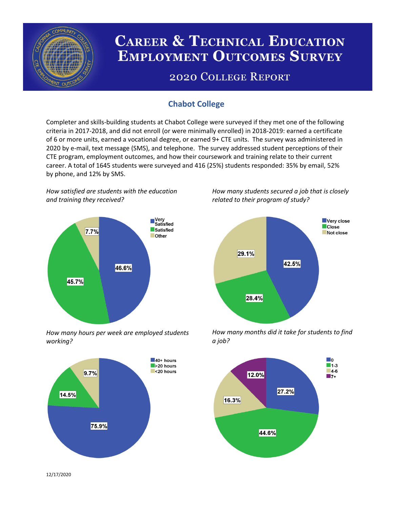

# **CAREER & TECHNICAL EDUCATION EMPLOYMENT OUTCOMES SURVEY**

## **2020 COLLEGE REPORT**

## **Chabot College**

Completer and skills-building students at Chabot College were surveyed if they met one of the following criteria in 2017-2018, and did not enroll (or were minimally enrolled) in 2018-2019: earned a certificate of 6 or more units, earned a vocational degree, or earned 9+ CTE units. The survey was administered in 2020 by e-mail, text message (SMS), and telephone. The survey addressed student perceptions of their CTE program, employment outcomes, and how their coursework and training relate to their current career. A total of 1645 students were surveyed and 416 (25%) students responded: 35% by email, 52% by phone, and 12% by SMS.

*How satisfied are students with the education and training they received?*



*How many hours per week are employed students working?*



*How many students secured a job that is closely related to their program of study?*



*How many months did it take for students to find a job?*



12/17/2020